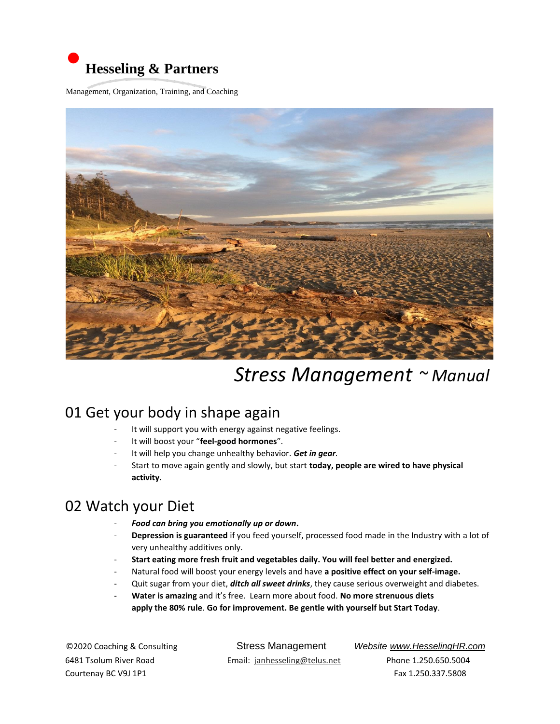

Management, Organization, Training, and Coaching



# *Stress Management ~ Manual*

### 01 Get your body in shape again

- It will support you with energy against negative feelings.
- It will boost your "**feel-good hormones**".
- It will help you change unhealthy behavior. *Get in gear.*
- Start to move again gently and slowly, but start **today, people are wired to have physical activity.**

### 02 Watch your Diet

- *Food can bring you emotionally up or down***.**
- Depression is guaranteed if you feed yourself, processed food made in the Industry with a lot of very unhealthy additives only.
- **Start eating more fresh fruit and vegetables daily. You will feel better and energized.**
- Natural food will boost your energy levels and have **a positive effect on your self-image.**
- Quit sugar from your diet, *ditch all sweet drinks*, they cause serious overweight and diabetes.
- **Water is amazing** and it's free. Learn more about food. **No more strenuous diets apply the 80% rule**. **Go for improvement. Be gentle with yourself but Start Today**.

Courtenay BC V9J 1P1 Fax 1.250.337.5808

©2020 Coaching & ConsultingStress Management *Website www.HesselingHR.com* 6481 Tsolum River Road Email: janhesseling@telus.net Phone 1.250.650.5004